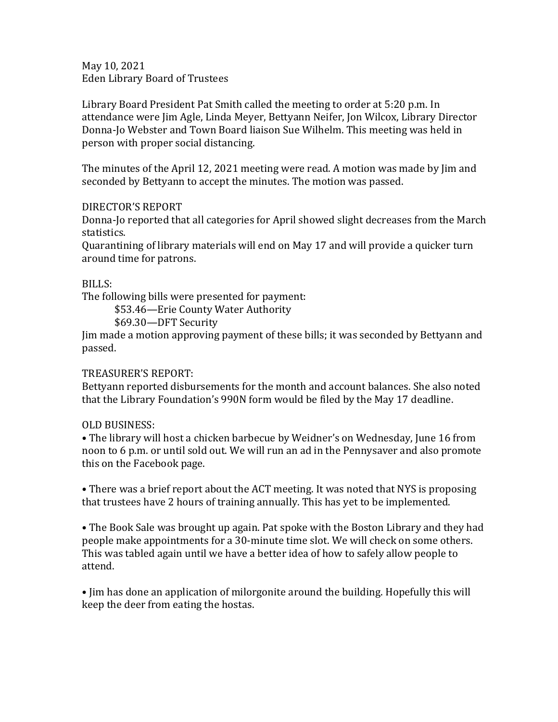May 10, 2021 Eden Library Board of Trustees

Library Board President Pat Smith called the meeting to order at 5:20 p.m. In attendance were Jim Agle, Linda Meyer, Bettyann Neifer, Jon Wilcox, Library Director Donna-Jo Webster and Town Board liaison Sue Wilhelm. This meeting was held in person with proper social distancing.

The minutes of the April 12, 2021 meeting were read. A motion was made by Jim and seconded by Bettyann to accept the minutes. The motion was passed.

## DIRECTOR'S REPORT

Donna-Jo reported that all categories for April showed slight decreases from the March statistics.

Quarantining of library materials will end on May 17 and will provide a quicker turn around time for patrons.

## BILLS:

The following bills were presented for payment:

\$53.46—Erie County Water Authority

\$69.30—DFT Security

Jim made a motion approving payment of these bills; it was seconded by Bettyann and passed.

## TREASURER'S REPORT:

Bettyann reported disbursements for the month and account balances. She also noted that the Library Foundation's 990N form would be filed by the May 17 deadline.

## OLD BUSINESS:

• The library will host a chicken barbecue by Weidner's on Wednesday, June 16 from noon to 6 p.m. or until sold out. We will run an ad in the Pennysaver and also promote this on the Facebook page.

• There was a brief report about the ACT meeting. It was noted that NYS is proposing that trustees have 2 hours of training annually. This has yet to be implemented.

• The Book Sale was brought up again. Pat spoke with the Boston Library and they had people make appointments for a 30-minute time slot. We will check on some others. This was tabled again until we have a better idea of how to safely allow people to attend.

• Jim has done an application of milorgonite around the building. Hopefully this will keep the deer from eating the hostas.